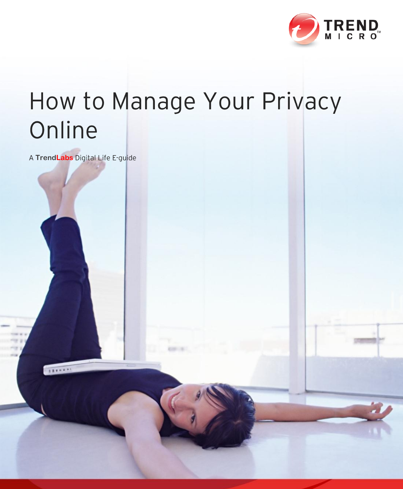

# How to Manage Your Privacy Online

A TrendLabs Digital Life E-guide

1800000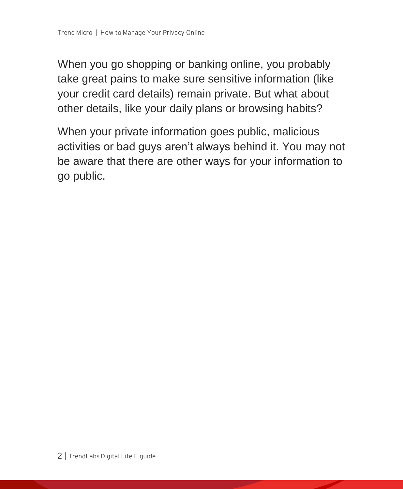When you go shopping or banking online, you probably take great pains to make sure sensitive information (like your credit card details) remain private. But what about other details, like your daily plans or browsing habits?

When your private information goes public, malicious activities or bad guys aren't always behind it. You may not be aware that there are other ways for your information to go public.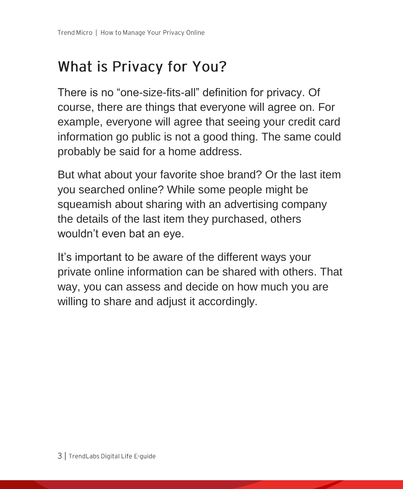# What is Privacy for You?

There is no "one-size-fits-all" definition for privacy. Of course, there are things that everyone will agree on. For example, everyone will agree that seeing your credit card information go public is not a good thing. The same could probably be said for a home address.

But what about your favorite shoe brand? Or the last item you searched online? While some people might be squeamish about sharing with an advertising company the details of the last item they purchased, others wouldn't even bat an eye.

It's important to be aware of the different ways your private online information can be shared with others. That way, you can assess and decide on how much you are willing to share and adjust it accordingly.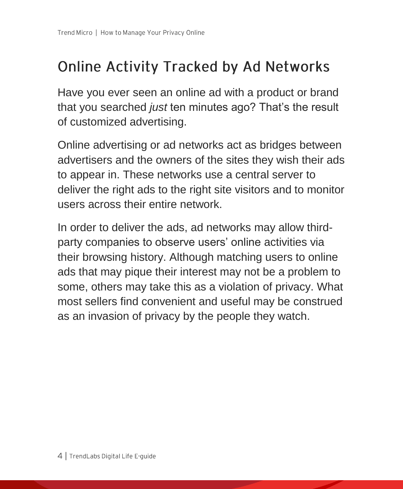## **Online Activity Tracked by Ad Networks**

Have you ever seen an online ad with a product or brand that you searched *just* ten minutes ago? That's the result of customized advertising.

Online advertising or ad networks act as bridges between advertisers and the owners of the sites they wish their ads to appear in. These networks use a central server to deliver the right ads to the right site visitors and to monitor users across their entire network.

In order to deliver the ads, ad networks may allow thirdparty companies to observe users' online activities via their browsing history. Although matching users to online ads that may pique their interest may not be a problem to some, others may take this as a violation of privacy. What most sellers find convenient and useful may be construed as an invasion of privacy by the people they watch.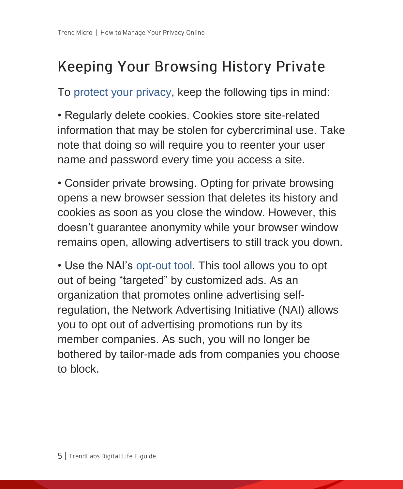## **Keeping Your Browsing History Private**

To [protect your privacy,](http://about-threats.trendmicro.com/ebooks/keeping-things-private-online/) keep the following tips in mind:

• Regularly delete cookies. Cookies store site-related information that may be stolen for cybercriminal use. Take note that doing so will require you to reenter your user name and password every time you access a site.

• Consider private browsing. Opting for private browsing opens a new browser session that deletes its history and cookies as soon as you close the window. However, this doesn't guarantee anonymity while your browser window remains open, allowing advertisers to still track you down.

• Use the NAI's [opt-out tool.](http://www.networkadvertising.org/choices/) This tool allows you to opt out of being "targeted" by customized ads. As an organization that promotes online advertising selfregulation, the Network Advertising Initiative (NAI) allows you to opt out of advertising promotions run by its member companies. As such, you will no longer be bothered by tailor-made ads from companies you choose to block.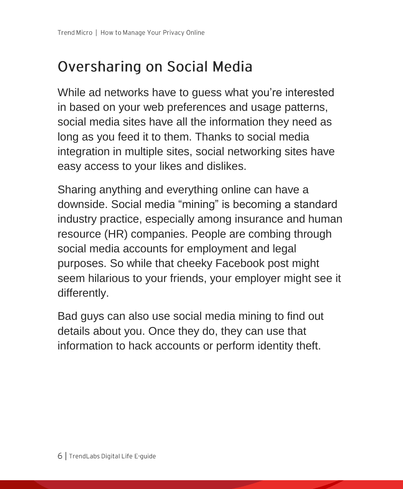# Oversharing on Social Media

While ad networks have to guess what you're interested in based on your web preferences and usage patterns, social media sites have all the information they need as long as you feed it to them. Thanks to social media integration in multiple sites, social networking sites have easy access to your likes and dislikes.

Sharing anything and everything online can have a downside. Social media "mining" is becoming a standard industry practice, especially among insurance and human resource (HR) companies. People are combing through social media accounts for employment and legal purposes. So while that cheeky Facebook post might seem hilarious to your friends, your employer might see it differently.

Bad guys can also use social media mining to find out details about you. Once they do, they can use that information to hack accounts or perform identity theft.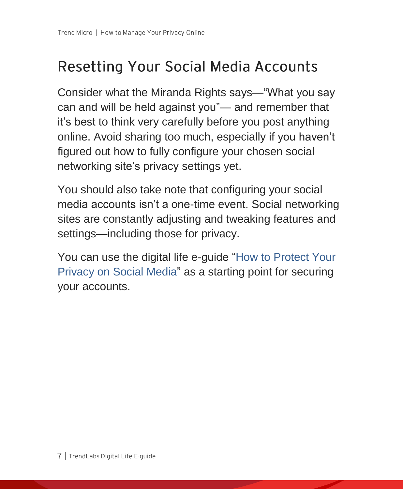## **Resetting Your Social Media Accounts**

Consider what the Miranda Rights says—"What you say can and will be held against you"— and remember that it's best to think very carefully before you post anything online. Avoid sharing too much, especially if you haven't figured out how to fully configure your chosen social networking site's privacy settings yet.

You should also take note that configuring your social media accounts isn't a one-time event. Social networking sites are constantly adjusting and tweaking features and settings—including those for privacy.

You can use the digital life e-guide ["How to Protect Your](http://about-threats.trendmicro.com/ebooks/how-to-protect-your-privacy-on-social-media/)  [Privacy on Social Media"](http://about-threats.trendmicro.com/ebooks/how-to-protect-your-privacy-on-social-media/) as a starting point for securing your accounts.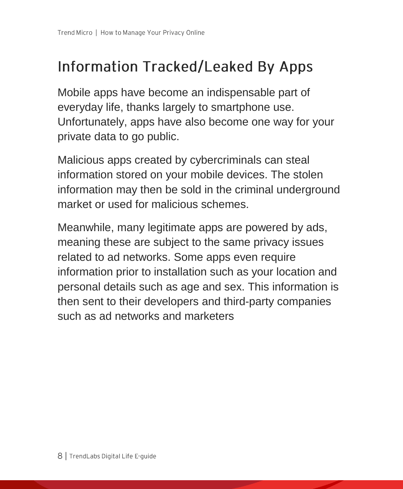### Information Tracked/Leaked By Apps

Mobile apps have become an indispensable part of everyday life, thanks largely to smartphone use. Unfortunately, apps have also become one way for your private data to go public.

Malicious apps created by cybercriminals can steal information stored on your mobile devices. The stolen information may then be sold in the criminal underground market or used for malicious schemes.

Meanwhile, many legitimate apps are powered by ads, meaning these are subject to the same privacy issues related to ad networks. Some apps even require information prior to installation such as your location and personal details such as age and sex. This information is then sent to their developers and third-party companies such as ad networks and marketers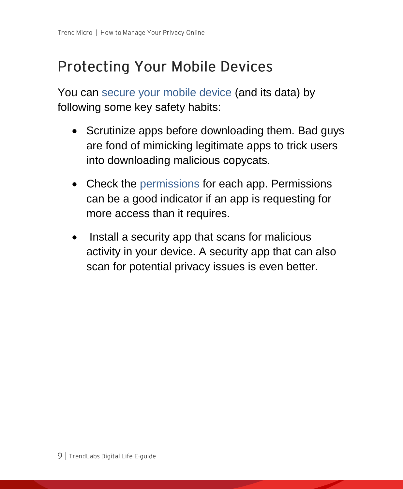# **Protecting Your Mobile Devices**

You can [secure your mobile device](http://about-threats.trendmicro.com/ebooks/the-who-what-why-and-how-of-mobile-privacy/) (and its data) by following some key safety habits:

- Scrutinize apps before downloading them. Bad guys are fond of mimicking legitimate apps to trick users into downloading malicious copycats.
- Check the [permissions](http://about-threats.trendmicro.com/us/library/image-gallery/12-most-abused-android-app-permissions) for each app. Permissions can be a good indicator if an app is requesting for more access than it requires.
- Install a security app that scans for malicious activity in your device. A security app that can also scan for potential privacy issues is even better.